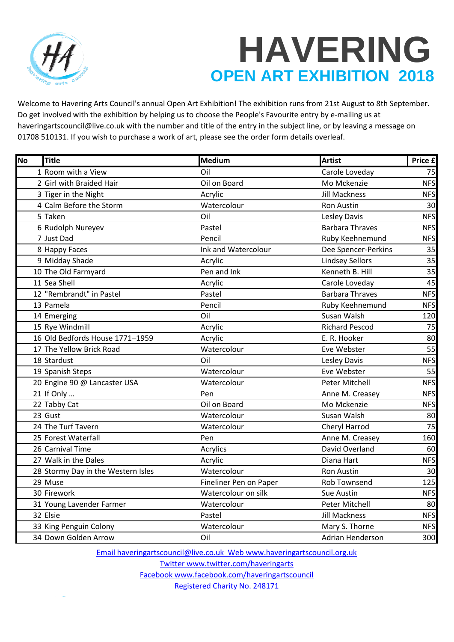

## **HAVERING OPEN ART EXHIBITION 2018**

Welcome to Havering Arts Council's annual Open Art Exhibition! The exhibition runs from 21st August to 8th September. Do get involved with the exhibition by helping us to choose the People's Favourite entry by e-mailing us at haveringartscouncil@live.co.uk with the number and title of the entry in the subject line, or by leaving a message on 01708 510131. If you wish to purchase a work of art, please see the order form details overleaf.

| No | <b>Title</b>                       | <b>Medium</b>          | <b>Artist</b>          | Price £    |
|----|------------------------------------|------------------------|------------------------|------------|
|    | 1 Room with a View                 | Oil                    | Carole Loveday         | 75         |
|    | 2 Girl with Braided Hair           | Oil on Board           | Mo Mckenzie            | <b>NFS</b> |
|    | 3 Tiger in the Night               | Acrylic                | <b>Jill Mackness</b>   | <b>NFS</b> |
|    | 4 Calm Before the Storm            | Watercolour            | Ron Austin             | 30         |
|    | 5 Taken                            | Oil                    | Lesley Davis           | <b>NFS</b> |
|    | 6 Rudolph Nureyev                  | Pastel                 | <b>Barbara Thraves</b> | <b>NFS</b> |
|    | 7 Just Dad                         | Pencil                 | Ruby Keehnemund        | <b>NFS</b> |
|    | 8 Happy Faces                      | Ink and Watercolour    | Dee Spencer-Perkins    | 35         |
|    | 9 Midday Shade                     | Acrylic                | <b>Lindsey Sellors</b> | 35         |
|    | 10 The Old Farmyard                | Pen and Ink            | Kenneth B. Hill        | 35         |
|    | 11 Sea Shell                       | Acrylic                | Carole Loveday         | 45         |
|    | 12 "Rembrandt" in Pastel           | Pastel                 | <b>Barbara Thraves</b> | <b>NFS</b> |
|    | 13 Pamela                          | Pencil                 | Ruby Keehnemund        | <b>NFS</b> |
|    | 14 Emerging                        | Oil                    | Susan Walsh            | 120        |
|    | 15 Rye Windmill                    | Acrylic                | <b>Richard Pescod</b>  | 75         |
|    | 16 Old Bedfords House 1771-1959    | Acrylic                | E. R. Hooker           | 80         |
|    | 17 The Yellow Brick Road           | Watercolour            | Eve Webster            | 55         |
|    | 18 Stardust                        | Oil                    | Lesley Davis           | <b>NFS</b> |
|    | 19 Spanish Steps                   | Watercolour            | Eve Webster            | 55         |
|    | 20 Engine 90 @ Lancaster USA       | Watercolour            | Peter Mitchell         | <b>NFS</b> |
|    | 21 If Only                         | Pen                    | Anne M. Creasey        | <b>NFS</b> |
|    | 22 Tabby Cat                       | Oil on Board           | Mo Mckenzie            | <b>NFS</b> |
|    | 23 Gust                            | Watercolour            | Susan Walsh            | 80         |
|    | 24 The Turf Tavern                 | Watercolour            | Cheryl Harrod          | 75         |
|    | 25 Forest Waterfall                | Pen                    | Anne M. Creasey        | 160        |
|    | 26 Carnival Time                   | Acrylics               | David Overland         | 60         |
|    | 27 Walk in the Dales               | Acrylic                | Diana Hart             | <b>NFS</b> |
|    | 28 Stormy Day in the Western Isles | Watercolour            | Ron Austin             | 30         |
|    | 29 Muse                            | Fineliner Pen on Paper | <b>Rob Townsend</b>    | 125        |
|    | 30 Firework                        | Watercolour on silk    | Sue Austin             | <b>NFS</b> |
|    | 31 Young Lavender Farmer           | Watercolour            | Peter Mitchell         | 80         |
|    | 32 Elsie                           | Pastel                 | <b>Jill Mackness</b>   | <b>NFS</b> |
|    | 33 King Penguin Colony             | Watercolour            | Mary S. Thorne         | <b>NFS</b> |
|    | 34 Down Golden Arrow               | Oil                    | Adrian Henderson       | 300        |

[E](mailto:Email%20haveringartscouncil@live.co.uk%20 Web%20www.haveringartscouncil.org.uk%0aTwitter%20www.twitter.com/haveringarts%0aFacebook%20www.facebook.com/haveringartscouncil%0aRegistered%20Charity%20No.%20248171)mail haveringartscouncil@live.co.uk Web www.haveringartscouncil.org.uk [T](mailto:Email%20haveringartscouncil@live.co.uk%20 Web%20www.haveringartscouncil.org.uk%0aTwitter%20www.twitter.com/haveringarts%0aFacebook%20www.facebook.com/haveringartscouncil%0aRegistered%20Charity%20No.%20248171)witter www.twitter.com/haveringarts Facebook www.facebook.com/haveringartscouncil [R](mailto:Email%20haveringartscouncil@live.co.uk%20 Web%20www.haveringartscouncil.org.uk%0aTwitter%20www.twitter.com/haveringarts%0aFacebook%20www.facebook.com/haveringartscouncil%0aRegistered%20Charity%20No.%20248171)egistered Charity No. 248171